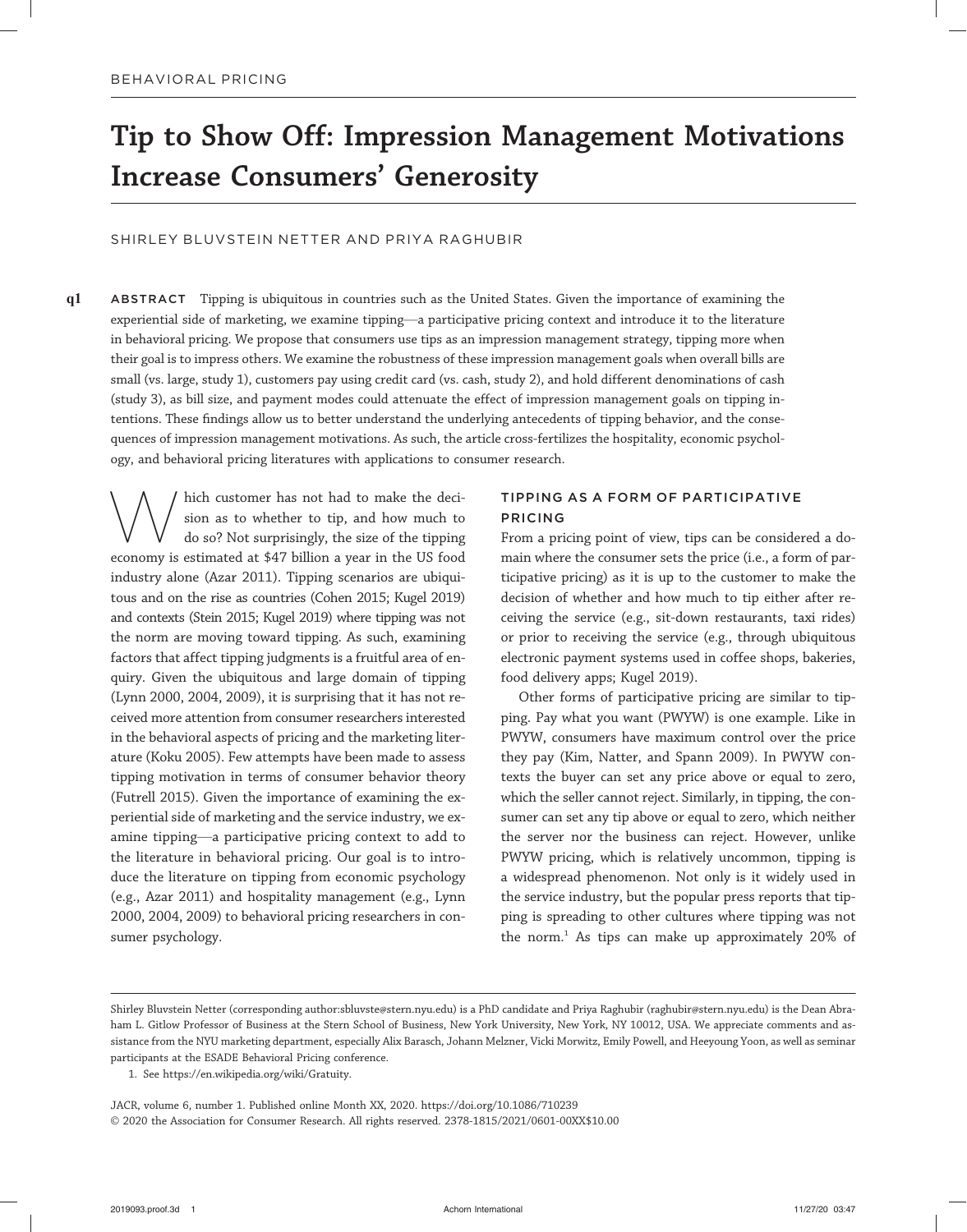# Tip to Show Off: Impression Management Motivations Increase Consumers' Generosity

# SHIRLEY BLUVSTEIN NETTER AND PRIYA RAGHUBIR

q1 ABSTRACT Tipping is ubiquitous in countries such as the United States. Given the importance of examining the experiential side of marketing, we examine tipping—a participative pricing context and introduce it to the literature in behavioral pricing. We propose that consumers use tips as an impression management strategy, tipping more when their goal is to impress others. We examine the robustness of these impression management goals when overall bills are small (vs. large, study 1), customers pay using credit card (vs. cash, study 2), and hold different denominations of cash (study 3), as bill size, and payment modes could attenuate the effect of impression management goals on tipping intentions. These findings allow us to better understand the underlying antecedents of tipping behavior, and the consequences of impression management motivations. As such, the article cross-fertilizes the hospitality, economic psychology, and behavioral pricing literatures with applications to consumer research.

Which customer has not had to make the deci-<br>sion as to whether to tip, and how much to<br>do so? Not surprisingly, the size of the tipping sion as to whether to tip, and how much to do so? Not surprisingly, the size of the tipping economy is estimated at \$47 billion a year in the US food industry alone (Azar 2011). Tipping scenarios are ubiquitous and on the rise as countries (Cohen 2015; Kugel 2019) and contexts (Stein 2015; Kugel 2019) where tipping was not the norm are moving toward tipping. As such, examining factors that affect tipping judgments is a fruitful area of enquiry. Given the ubiquitous and large domain of tipping (Lynn 2000, 2004, 2009), it is surprising that it has not received more attention from consumer researchers interested in the behavioral aspects of pricing and the marketing literature (Koku 2005). Few attempts have been made to assess tipping motivation in terms of consumer behavior theory (Futrell 2015). Given the importance of examining the experiential side of marketing and the service industry, we examine tipping—a participative pricing context to add to the literature in behavioral pricing. Our goal is to introduce the literature on tipping from economic psychology (e.g., Azar 2011) and hospitality management (e.g., Lynn 2000, 2004, 2009) to behavioral pricing researchers in consumer psychology.

# TIPPING AS A FORM OF PARTICIPATIVE PRICING

From a pricing point of view, tips can be considered a domain where the consumer sets the price (i.e., a form of participative pricing) as it is up to the customer to make the decision of whether and how much to tip either after receiving the service (e.g., sit-down restaurants, taxi rides) or prior to receiving the service (e.g., through ubiquitous electronic payment systems used in coffee shops, bakeries, food delivery apps; Kugel 2019).

Other forms of participative pricing are similar to tipping. Pay what you want (PWYW) is one example. Like in PWYW, consumers have maximum control over the price they pay (Kim, Natter, and Spann 2009). In PWYW contexts the buyer can set any price above or equal to zero, which the seller cannot reject. Similarly, in tipping, the consumer can set any tip above or equal to zero, which neither the server nor the business can reject. However, unlike PWYW pricing, which is relatively uncommon, tipping is a widespread phenomenon. Not only is it widely used in the service industry, but the popular press reports that tipping is spreading to other cultures where tipping was not the norm.1 As tips can make up approximately 20% of

JACR, volume 6, number 1. Published online Month XX, 2020. https://doi.org/10.1086/710239 © 2020 the Association for Consumer Research. All rights reserved. 2378-1815/2021/0601-00XX\$10.00

Shirley Bluvstein Netter (corresponding author:sbluvste@stern.nyu.edu) is a PhD candidate and Priya Raghubir (raghubir@stern.nyu.edu) is the Dean Abraham L. Gitlow Professor of Business at the Stern School of Business, New York University, New York, NY 10012, USA. We appreciate comments and assistance from the NYU marketing department, especially Alix Barasch, Johann Melzner, Vicki Morwitz, Emily Powell, and Heeyoung Yoon, as well as seminar participants at the ESADE Behavioral Pricing conference.

<sup>1.</sup> See https://en.wikipedia.org/wiki/Gratui[ty.](mailto:sbluvste@stern.nyu.edu)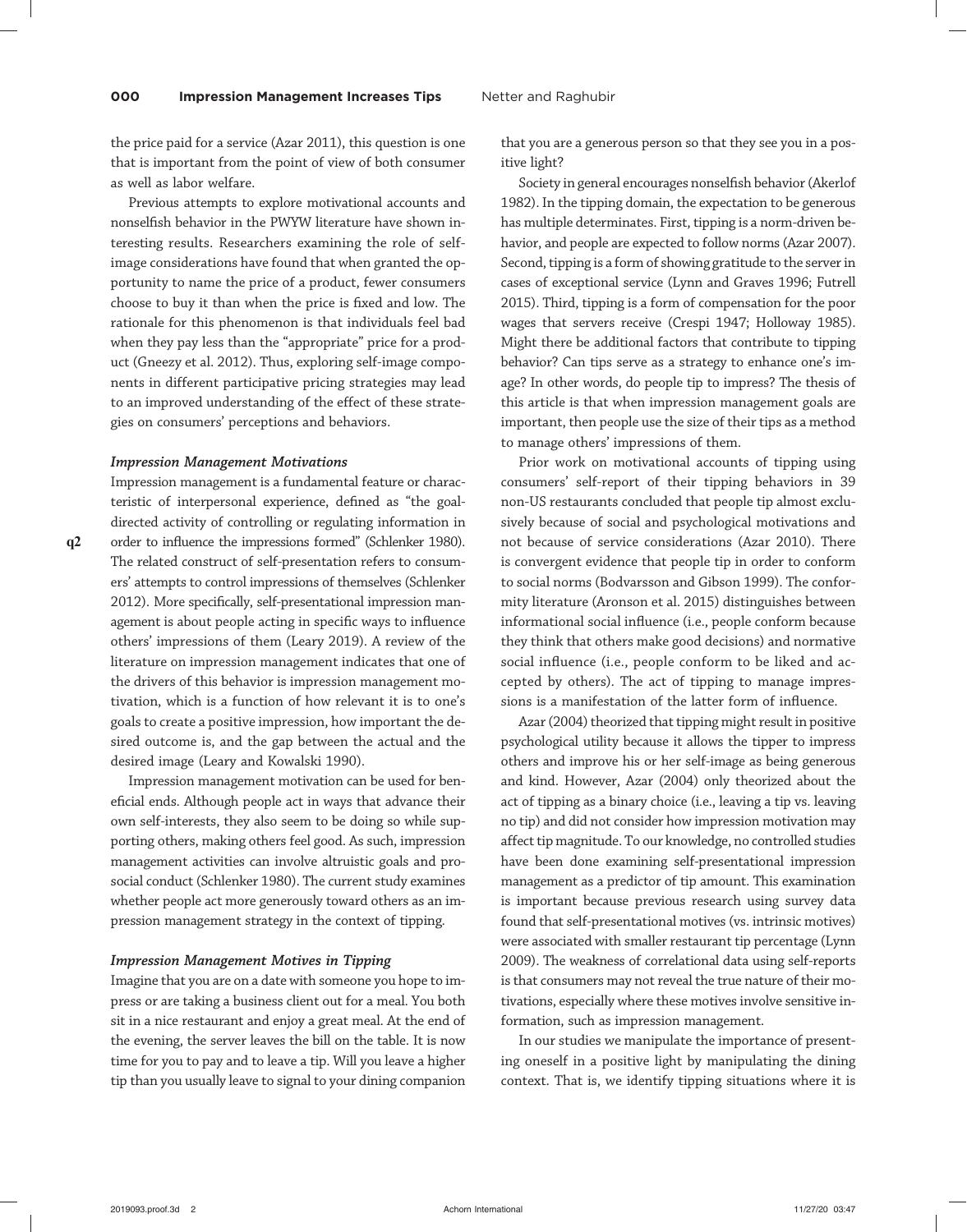the price paid for a service (Azar 2011), this question is one that is important from the point of view of both consumer as well as labor welfare.

Previous attempts to explore motivational accounts and nonselfish behavior in the PWYW literature have shown interesting results. Researchers examining the role of selfimage considerations have found that when granted the opportunity to name the price of a product, fewer consumers choose to buy it than when the price is fixed and low. The rationale for this phenomenon is that individuals feel bad when they pay less than the "appropriate" price for a product (Gneezy et al. 2012). Thus, exploring self-image components in different participative pricing strategies may lead to an improved understanding of the effect of these strategies on consumers' perceptions and behaviors.

#### Impression Management Motivations

teristic of interpersonal experience, defined as "the goaldirected activity of controlling or regulating information in q2 order to influence the impressions formed" (Schlenker 1980). The related construct of self-presentation refers to consumers' attempts to control impressions of themselves (Schlenker 2012). More specifically, self-presentational impression management is about people acting in specific ways to influence others' impressions of them (Leary 2019). A review of the literature on impression management indicates that one of the drivers of this behavior is impression management motivation, which is a function of how relevant it is to one's goals to create a positive impression, how important the desired outcome is, and the gap between the actual and the desired image (Leary and Kowalski 1990).

Impression management is a fundamental feature or charac-

Impression management motivation can be used for beneficial ends. Although people act in ways that advance their own self-interests, they also seem to be doing so while supporting others, making others feel good. As such, impression management activities can involve altruistic goals and prosocial conduct (Schlenker 1980). The current study examines whether people act more generously toward others as an impression management strategy in the context of tipping.

#### Impression Management Motives in Tipping

Imagine that you are on a date with someone you hope to impress or are taking a business client out for a meal. You both sit in a nice restaurant and enjoy a great meal. At the end of the evening, the server leaves the bill on the table. It is now time for you to pay and to leave a tip. Will you leave a higher tip than you usually leave to signal to your dining companion

that you are a generous person so that they see you in a positive light?

Society in general encourages nonselfish behavior (Akerlof 1982). In the tipping domain, the expectation to be generous has multiple determinates. First, tipping is a norm-driven behavior, and people are expected to follow norms (Azar 2007). Second, tipping is a form of showing gratitude to the server in cases of exceptional service (Lynn and Graves 1996; Futrell 2015). Third, tipping is a form of compensation for the poor wages that servers receive (Crespi 1947; Holloway 1985). Might there be additional factors that contribute to tipping behavior? Can tips serve as a strategy to enhance one's image? In other words, do people tip to impress? The thesis of this article is that when impression management goals are important, then people use the size of their tips as a method to manage others' impressions of them.

Prior work on motivational accounts of tipping using consumers' self-report of their tipping behaviors in 39 non-US restaurants concluded that people tip almost exclusively because of social and psychological motivations and not because of service considerations (Azar 2010). There is convergent evidence that people tip in order to conform to social norms (Bodvarsson and Gibson 1999). The conformity literature (Aronson et al. 2015) distinguishes between informational social influence (i.e., people conform because they think that others make good decisions) and normative social influence (i.e., people conform to be liked and accepted by others). The act of tipping to manage impressions is a manifestation of the latter form of influence.

Azar (2004) theorized that tipping might result in positive psychological utility because it allows the tipper to impress others and improve his or her self-image as being generous and kind. However, Azar (2004) only theorized about the act of tipping as a binary choice (i.e., leaving a tip vs. leaving no tip) and did not consider how impression motivation may affect tip magnitude. To our knowledge, no controlled studies have been done examining self-presentational impression management as a predictor of tip amount. This examination is important because previous research using survey data found that self-presentational motives (vs. intrinsic motives) were associated with smaller restaurant tip percentage (Lynn 2009). The weakness of correlational data using self-reports is that consumers may not reveal the true nature of their motivations, especially where these motives involve sensitive information, such as impression management.

In our studies we manipulate the importance of presenting oneself in a positive light by manipulating the dining context. That is, we identify tipping situations where it is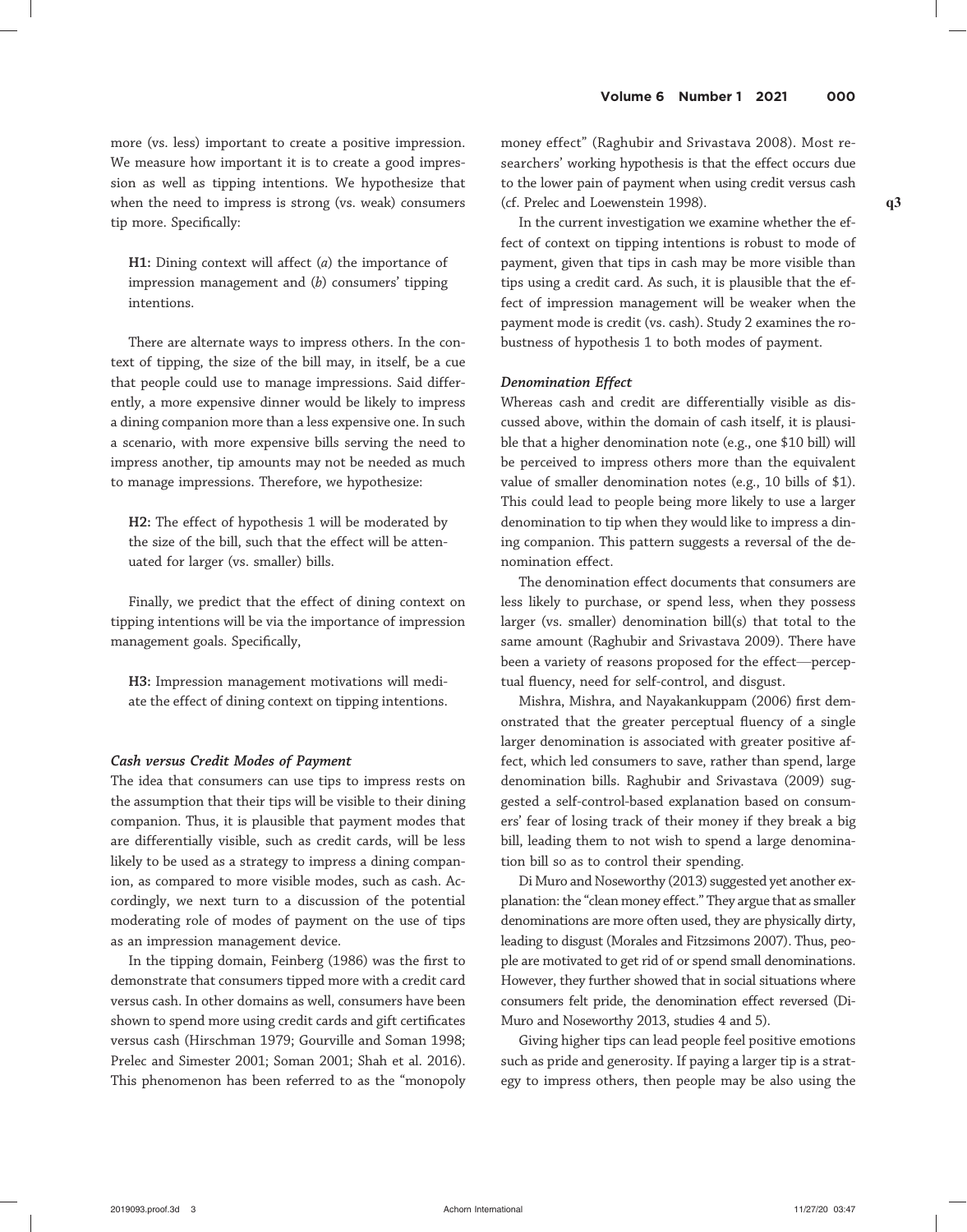more (vs. less) important to create a positive impression. We measure how important it is to create a good impression as well as tipping intentions. We hypothesize that when the need to impress is strong (vs. weak) consumers tip more. Specifically:

H1: Dining context will affect  $(a)$  the importance of impression management and (b) consumers' tipping intentions.

There are alternate ways to impress others. In the context of tipping, the size of the bill may, in itself, be a cue that people could use to manage impressions. Said differently, a more expensive dinner would be likely to impress a dining companion more than a less expensive one. In such a scenario, with more expensive bills serving the need to impress another, tip amounts may not be needed as much to manage impressions. Therefore, we hypothesize:

H2: The effect of hypothesis 1 will be moderated by the size of the bill, such that the effect will be attenuated for larger (vs. smaller) bills.

Finally, we predict that the effect of dining context on tipping intentions will be via the importance of impression management goals. Specifically,

H3: Impression management motivations will mediate the effect of dining context on tipping intentions.

#### Cash versus Credit Modes of Payment

The idea that consumers can use tips to impress rests on the assumption that their tips will be visible to their dining companion. Thus, it is plausible that payment modes that are differentially visible, such as credit cards, will be less likely to be used as a strategy to impress a dining companion, as compared to more visible modes, such as cash. Accordingly, we next turn to a discussion of the potential moderating role of modes of payment on the use of tips as an impression management device.

In the tipping domain, Feinberg (1986) was the first to demonstrate that consumers tipped more with a credit card versus cash. In other domains as well, consumers have been shown to spend more using credit cards and gift certificates versus cash (Hirschman 1979; Gourville and Soman 1998; Prelec and Simester 2001; Soman 2001; Shah et al. 2016). This phenomenon has been referred to as the "monopoly

money effect" (Raghubir and Srivastava 2008). Most researchers' working hypothesis is that the effect occurs due to the lower pain of payment when using credit versus cash (cf. Prelec and Loewenstein 1998). q3

In the current investigation we examine whether the effect of context on tipping intentions is robust to mode of payment, given that tips in cash may be more visible than tips using a credit card. As such, it is plausible that the effect of impression management will be weaker when the payment mode is credit (vs. cash). Study 2 examines the robustness of hypothesis 1 to both modes of payment.

#### Denomination Effect

Whereas cash and credit are differentially visible as discussed above, within the domain of cash itself, it is plausible that a higher denomination note (e.g., one \$10 bill) will be perceived to impress others more than the equivalent value of smaller denomination notes (e.g., 10 bills of \$1). This could lead to people being more likely to use a larger denomination to tip when they would like to impress a dining companion. This pattern suggests a reversal of the denomination effect.

The denomination effect documents that consumers are less likely to purchase, or spend less, when they possess larger (vs. smaller) denomination bill(s) that total to the same amount (Raghubir and Srivastava 2009). There have been a variety of reasons proposed for the effect—perceptual fluency, need for self-control, and disgust.

Mishra, Mishra, and Nayakankuppam (2006) first demonstrated that the greater perceptual fluency of a single larger denomination is associated with greater positive affect, which led consumers to save, rather than spend, large denomination bills. Raghubir and Srivastava (2009) suggested a self-control-based explanation based on consumers' fear of losing track of their money if they break a big bill, leading them to not wish to spend a large denomination bill so as to control their spending.

Di Muro and Noseworthy (2013) suggested yet another explanation: the "clean money effect." They argue that as smaller denominations are more often used, they are physically dirty, leading to disgust (Morales and Fitzsimons 2007). Thus, people are motivated to get rid of or spend small denominations. However, they further showed that in social situations where consumers felt pride, the denomination effect reversed (Di-Muro and Noseworthy 2013, studies 4 and 5).

Giving higher tips can lead people feel positive emotions such as pride and generosity. If paying a larger tip is a strategy to impress others, then people may be also using the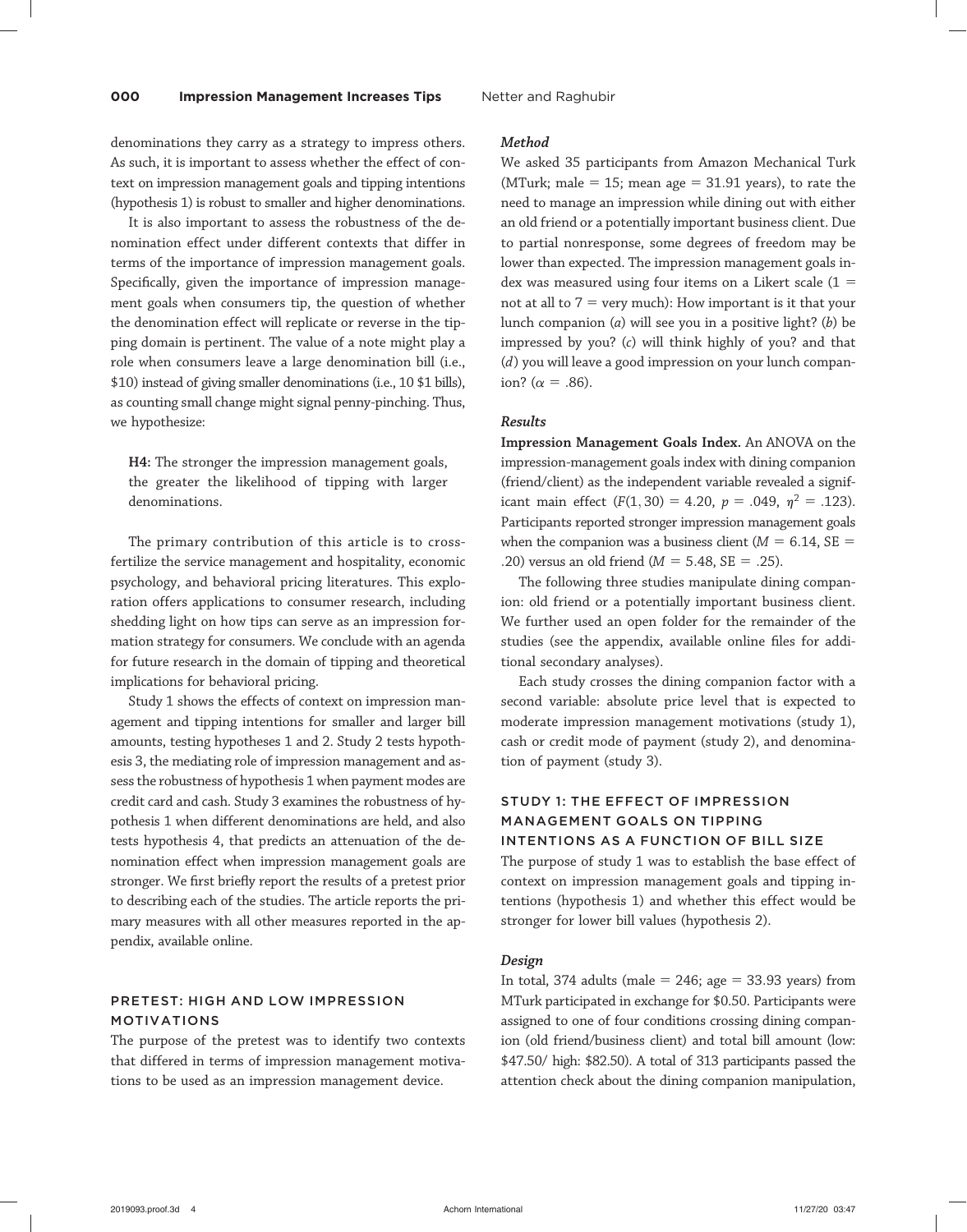denominations they carry as a strategy to impress others. As such, it is important to assess whether the effect of context on impression management goals and tipping intentions (hypothesis 1) is robust to smaller and higher denominations.

It is also important to assess the robustness of the denomination effect under different contexts that differ in terms of the importance of impression management goals. Specifically, given the importance of impression management goals when consumers tip, the question of whether the denomination effect will replicate or reverse in the tipping domain is pertinent. The value of a note might play a role when consumers leave a large denomination bill (i.e., \$10) instead of giving smaller denominations (i.e., 10 \$1 bills), as counting small change might signal penny-pinching. Thus, we hypothesize:

H4: The stronger the impression management goals, the greater the likelihood of tipping with larger denominations.

The primary contribution of this article is to crossfertilize the service management and hospitality, economic psychology, and behavioral pricing literatures. This exploration offers applications to consumer research, including shedding light on how tips can serve as an impression formation strategy for consumers. We conclude with an agenda for future research in the domain of tipping and theoretical implications for behavioral pricing.

Study 1 shows the effects of context on impression management and tipping intentions for smaller and larger bill amounts, testing hypotheses 1 and 2. Study 2 tests hypothesis 3, the mediating role of impression management and assess the robustness of hypothesis 1 when payment modes are credit card and cash. Study 3 examines the robustness of hypothesis 1 when different denominations are held, and also tests hypothesis 4, that predicts an attenuation of the denomination effect when impression management goals are stronger. We first briefly report the results of a pretest prior to describing each of the studies. The article reports the primary measures with all other measures reported in the appendix, available online.

# PRETEST: HIGH AND LOW IMPRESSION MOTIVATIONS

The purpose of the pretest was to identify two contexts that differed in terms of impression management motivations to be used as an impression management device.

#### Method

We asked 35 participants from Amazon Mechanical Turk (MTurk; male = 15; mean age =  $31.91$  years), to rate the need to manage an impression while dining out with either an old friend or a potentially important business client. Due to partial nonresponse, some degrees of freedom may be lower than expected. The impression management goals index was measured using four items on a Likert scale  $(1 =$ not at all to  $7 =$  very much): How important is it that your lunch companion  $(a)$  will see you in a positive light?  $(b)$  be impressed by you? (c) will think highly of you? and that (d) you will leave a good impression on your lunch companion? ( $\alpha = .86$ ).

#### Results

Impression Management Goals Index. An ANOVA on the impression-management goals index with dining companion (friend/client) as the independent variable revealed a significant main effect  $(F(1, 30) = 4.20, p = .049, \eta^2 = .123)$ . Participants reported stronger impression management goals when the companion was a business client ( $M = 6.14$ , SE = .20) versus an old friend ( $M = 5.48$ , SE = .25).

The following three studies manipulate dining companion: old friend or a potentially important business client. We further used an open folder for the remainder of the studies (see the appendix, available online files for additional secondary analyses).

Each study crosses the dining companion factor with a second variable: absolute price level that is expected to moderate impression management motivations (study 1), cash or credit mode of payment (study 2), and denomination of payment (study 3).

# STUDY 1: THE EFFECT OF IMPRESSION MANAGEMENT GOALS ON TIPPING INTENTIONS AS A FUNCTION OF BILL SIZE

The purpose of study 1 was to establish the base effect of context on impression management goals and tipping intentions (hypothesis 1) and whether this effect would be stronger for lower bill values (hypothesis 2).

#### Design

In total, 374 adults (male  $= 246$ ; age  $= 33.93$  years) from MTurk participated in exchange for \$0.50. Participants were assigned to one of four conditions crossing dining companion (old friend/business client) and total bill amount (low: \$47.50/ high: \$82.50). A total of 313 participants passed the attention check about the dining companion manipulation,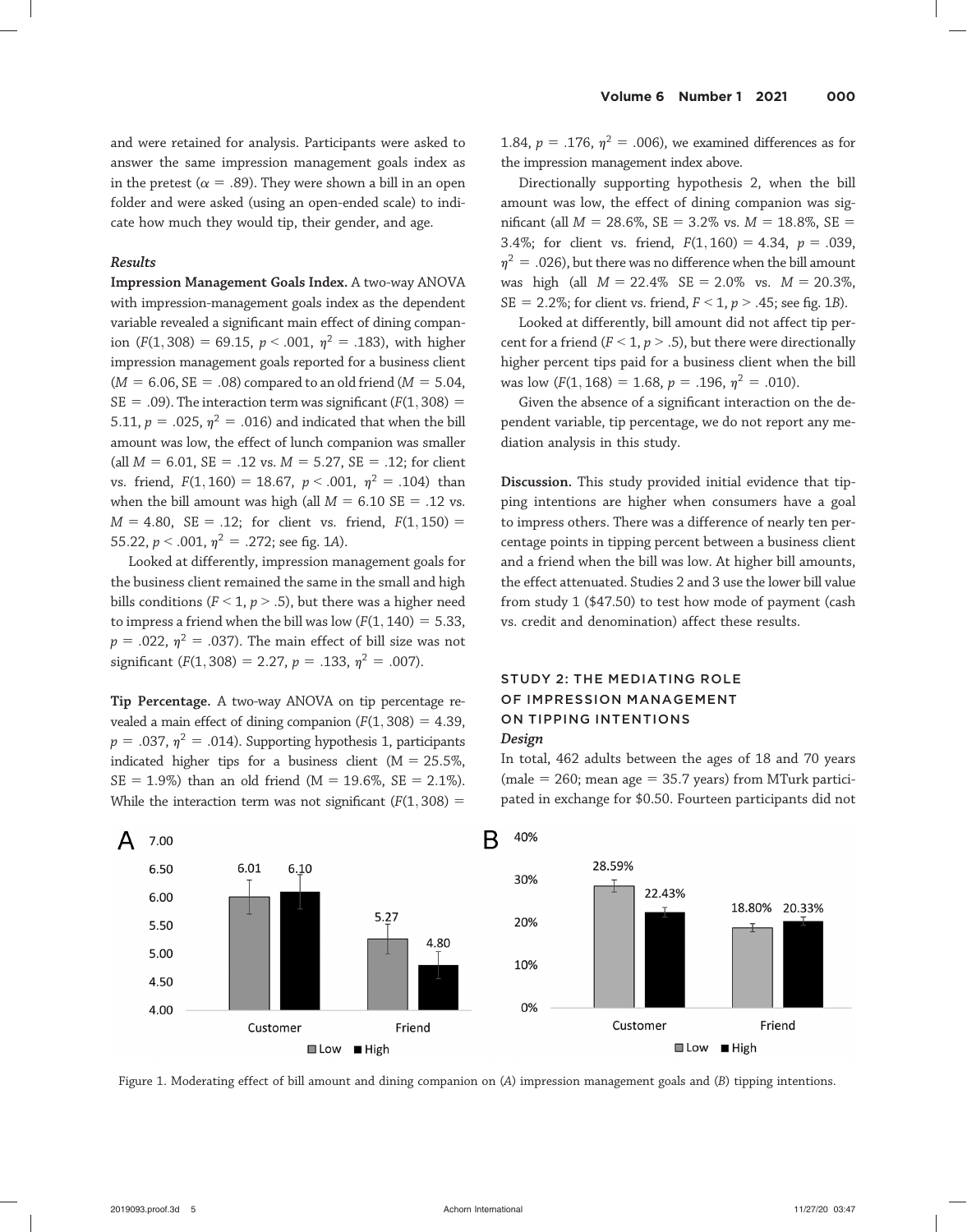and were retained for analysis. Participants were asked to answer the same impression management goals index as in the pretest ( $\alpha = .89$ ). They were shown a bill in an open folder and were asked (using an open-ended scale) to indicate how much they would tip, their gender, and age.

#### Results

Impression Management Goals Index. A two-way ANOVA with impression-management goals index as the dependent variable revealed a significant main effect of dining companion (F(1,308) = 69.15,  $p < .001$ ,  $\eta^2 = .183$ ), with higher impression management goals reported for a business client  $(M = 6.06, SE = .08)$  compared to an old friend  $(M = 5.04,$  $SE = .09$ ). The interaction term was significant ( $F(1, 308) =$ 5.11,  $p = .025$ ,  $\eta^2 = .016$ ) and indicated that when the bill amount was low, the effect of lunch companion was smaller (all  $M = 6.01$ , SE = .12 vs.  $M = 5.27$ , SE = .12; for client vs. friend,  $F(1, 160) = 18.67$ ,  $p < .001$ ,  $\eta^2 = .104$ ) than when the bill amount was high (all  $M = 6.10$  SE = .12 vs.  $M = 4.80$ , SE = .12; for client vs. friend,  $F(1, 150) =$ 55.22,  $p < .001$ ,  $n^2 = .272$ ; see fig. 1A).

Looked at differently, impression management goals for the business client remained the same in the small and high bills conditions ( $F < 1$ ,  $p > .5$ ), but there was a higher need to impress a friend when the bill was low  $(F(1, 140) = 5.33,$  $p = .022$ ,  $\eta^2 = .037$ ). The main effect of bill size was not significant ( $F(1, 308) = 2.27$ ,  $p = .133$ ,  $\eta^2 = .007$ ).

Tip Percentage. A two-way ANOVA on tip percentage revealed a main effect of dining companion  $(F(1, 308) = 4.39)$ ,  $p = .037$ ,  $\eta^2 = .014$ ). Supporting hypothesis 1, participants indicated higher tips for a business client ( $M = 25.5\%$ ,  $SE = 1.9\%$ ) than an old friend (M = 19.6%, SE = 2.1%). While the interaction term was not significant  $(F(1, 308) =$ 

1.84,  $p = .176$ ,  $\eta^2 = .006$ ), we examined differences as for the impression management index above.

Directionally supporting hypothesis 2, when the bill amount was low, the effect of dining companion was significant (all  $M = 28.6\%$ , SE = 3.2% vs.  $M = 18.8\%$ , SE = 3.4%; for client vs. friend,  $F(1, 160) = 4.34$ ,  $p = .039$ ,  $n^2 = 0.026$ , but there was no difference when the bill amount was high (all  $M = 22.4\%$  SE = 2.0% vs.  $M = 20.3\%$ , SE = 2.2%; for client vs. friend,  $F < 1$ ,  $p > .45$ ; see fig. 1B).

Looked at differently, bill amount did not affect tip percent for a friend ( $F < 1$ ,  $p > .5$ ), but there were directionally higher percent tips paid for a business client when the bill was low  $(F(1, 168) = 1.68, p = .196, \eta^2 = .010)$ .

Given the absence of a significant interaction on the dependent variable, tip percentage, we do not report any mediation analysis in this study.

Discussion. This study provided initial evidence that tipping intentions are higher when consumers have a goal to impress others. There was a difference of nearly ten percentage points in tipping percent between a business client and a friend when the bill was low. At higher bill amounts, the effect attenuated. Studies 2 and 3 use the lower bill value from study 1 (\$47.50) to test how mode of payment (cash vs. credit and denomination) affect these results.

# STUDY 2: THE MEDIATING ROLE OF IMPRESSION MANAGEMENT ON TIPPING INTENTIONS Design

In total, 462 adults between the ages of 18 and 70 years (male = 260; mean age = 35.7 years) from MTurk participated in exchange for \$0.50. Fourteen participants did not



Figure 1. Moderating effect of bill amount and dining companion on (A) impression management goals and (B) tipping intentions.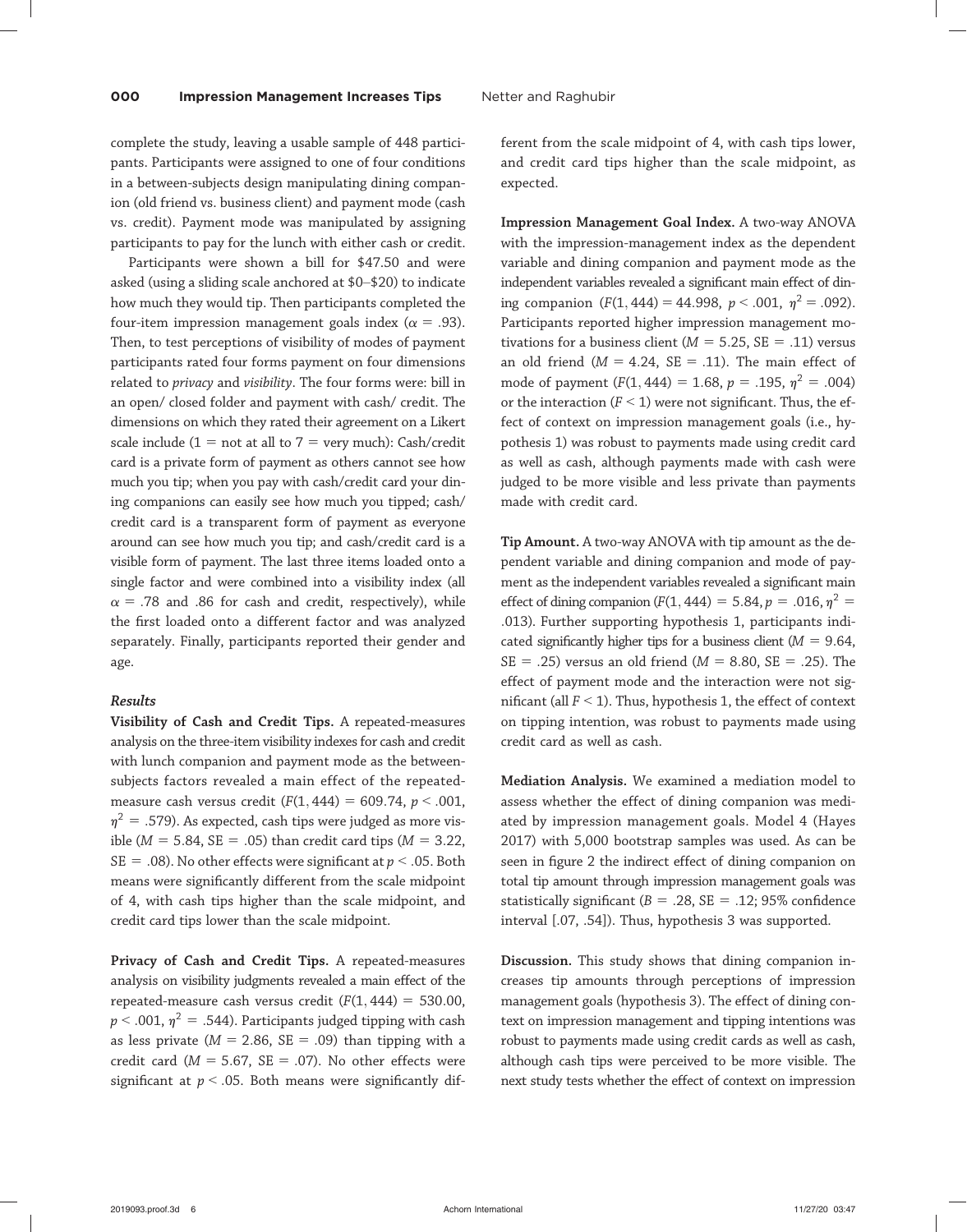complete the study, leaving a usable sample of 448 participants. Participants were assigned to one of four conditions in a between-subjects design manipulating dining companion (old friend vs. business client) and payment mode (cash vs. credit). Payment mode was manipulated by assigning participants to pay for the lunch with either cash or credit.

Participants were shown a bill for \$47.50 and were asked (using a sliding scale anchored at \$0–\$20) to indicate how much they would tip. Then participants completed the four-item impression management goals index ( $\alpha = .93$ ). Then, to test perceptions of visibility of modes of payment participants rated four forms payment on four dimensions related to privacy and visibility. The four forms were: bill in an open/ closed folder and payment with cash/ credit. The dimensions on which they rated their agreement on a Likert scale include (1 = not at all to 7 = very much): Cash/credit card is a private form of payment as others cannot see how much you tip; when you pay with cash/credit card your dining companions can easily see how much you tipped; cash/ credit card is a transparent form of payment as everyone around can see how much you tip; and cash/credit card is a visible form of payment. The last three items loaded onto a single factor and were combined into a visibility index (all  $\alpha$  = .78 and .86 for cash and credit, respectively), while the first loaded onto a different factor and was analyzed separately. Finally, participants reported their gender and age.

#### Results

Visibility of Cash and Credit Tips. A repeated-measures analysis on the three-item visibility indexes for cash and credit with lunch companion and payment mode as the betweensubjects factors revealed a main effect of the repeatedmeasure cash versus credit  $(F(1, 444) = 609.74, p < .001,$  $n^2$  = .579). As expected, cash tips were judged as more visible ( $M = 5.84$ , SE = .05) than credit card tips ( $M = 3.22$ , SE = .08). No other effects were significant at  $p < .05$ . Both means were significantly different from the scale midpoint of 4, with cash tips higher than the scale midpoint, and credit card tips lower than the scale midpoint.

Privacy of Cash and Credit Tips. A repeated-measures analysis on visibility judgments revealed a main effect of the repeated-measure cash versus credit  $(F(1, 444) = 530.00,$  $p < .001$ ,  $\eta^2 = .544$ ). Participants judged tipping with cash as less private ( $M = 2.86$ , SE = .09) than tipping with a credit card ( $M = 5.67$ , SE = .07). No other effects were significant at  $p < .05$ . Both means were significantly different from the scale midpoint of 4, with cash tips lower, and credit card tips higher than the scale midpoint, as expected.

Impression Management Goal Index. A two-way ANOVA with the impression-management index as the dependent variable and dining companion and payment mode as the independent variables revealed a significant main effect of dining companion  $(F(1, 444) = 44.998, p < .001, n^2 = .092)$ . Participants reported higher impression management motivations for a business client ( $M = 5.25$ , SE = .11) versus an old friend ( $M = 4.24$ ,  $SE = .11$ ). The main effect of mode of payment  $(F(1, 444) = 1.68, p = .195, \eta^2 = .004)$ or the interaction ( $F < 1$ ) were not significant. Thus, the effect of context on impression management goals (i.e., hypothesis 1) was robust to payments made using credit card as well as cash, although payments made with cash were judged to be more visible and less private than payments made with credit card.

Tip Amount. A two-way ANOVA with tip amount as the dependent variable and dining companion and mode of payment as the independent variables revealed a significant main effect of dining companion ( $F(1, 444) = 5.84$ ,  $p = .016$ ,  $p^2 =$ :013). Further supporting hypothesis 1, participants indicated significantly higher tips for a business client ( $M = 9.64$ ,  $SE = .25$ ) versus an old friend ( $M = 8.80$ ,  $SE = .25$ ). The effect of payment mode and the interaction were not significant (all  $F < 1$ ). Thus, hypothesis 1, the effect of context on tipping intention, was robust to payments made using credit card as well as cash.

Mediation Analysis. We examined a mediation model to assess whether the effect of dining companion was mediated by impression management goals. Model 4 (Hayes 2017) with 5,000 bootstrap samples was used. As can be seen in figure 2 the indirect effect of dining companion on total tip amount through impression management goals was statistically significant ( $B = .28$ ,  $SE = .12$ ; 95% confidence interval [.07, .54]). Thus, hypothesis 3 was supported.

Discussion. This study shows that dining companion increases tip amounts through perceptions of impression management goals (hypothesis 3). The effect of dining context on impression management and tipping intentions was robust to payments made using credit cards as well as cash, although cash tips were perceived to be more visible. The next study tests whether the effect of context on impression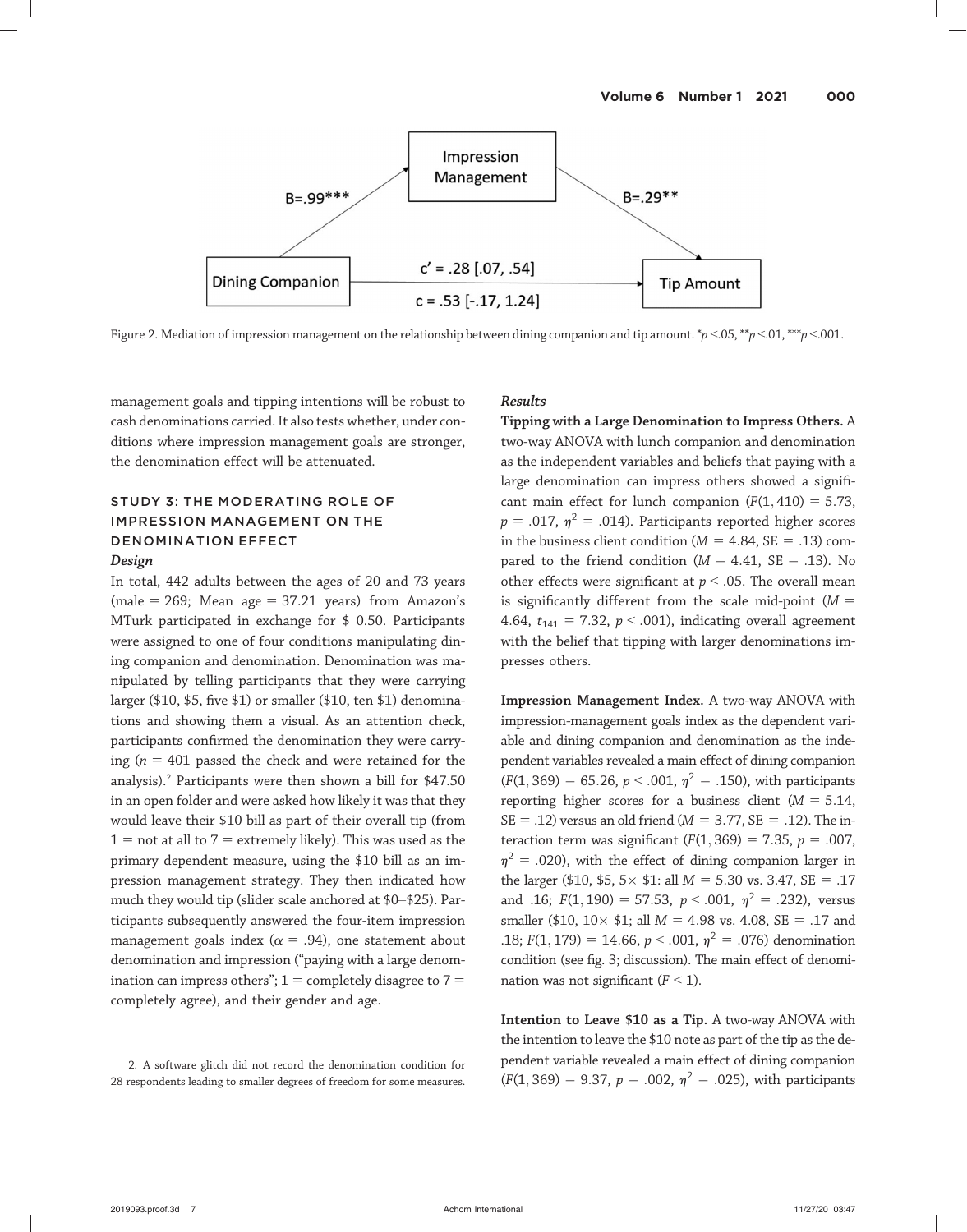

Figure 2. Mediation of impression management on the relationship between dining companion and tip amount.  $\gamma p < 0.05$ ,  $\gamma p < 0.01$ ,  $\gamma p < 0.01$ .

management goals and tipping intentions will be robust to cash denominations carried. It also tests whether, under conditions where impression management goals are stronger, the denomination effect will be attenuated.

# STUDY 3: THE MODERATING ROLE OF IMPRESSION MANAGEMENT ON THE DENOMINATION EFFECT

## Design

In total, 442 adults between the ages of 20 and 73 years (male = 269; Mean age = 37.21 years) from Amazon's MTurk participated in exchange for \$ 0.50. Participants were assigned to one of four conditions manipulating dining companion and denomination. Denomination was manipulated by telling participants that they were carrying larger (\$10, \$5, five \$1) or smaller (\$10, ten \$1) denominations and showing them a visual. As an attention check, participants confirmed the denomination they were carrying ( $n = 401$  passed the check and were retained for the analysis).<sup>2</sup> Participants were then shown a bill for  $$47.50$ in an open folder and were asked how likely it was that they would leave their \$10 bill as part of their overall tip (from  $1 =$  not at all to  $7 =$  extremely likely). This was used as the primary dependent measure, using the \$10 bill as an impression management strategy. They then indicated how much they would tip (slider scale anchored at \$0–\$25). Participants subsequently answered the four-item impression management goals index ( $\alpha = .94$ ), one statement about denomination and impression ("paying with a large denomination can impress others";  $1 =$  completely disagree to  $7 =$ completely agree), and their gender and age.

#### Results

Tipping with a Large Denomination to Impress Others. A two-way ANOVA with lunch companion and denomination as the independent variables and beliefs that paying with a large denomination can impress others showed a significant main effect for lunch companion  $(F(1, 410) = 5.73,$  $p = .017$ ,  $\eta^2 = .014$ ). Participants reported higher scores in the business client condition ( $M = 4.84$ , SE = .13) compared to the friend condition ( $M = 4.41$ , SE = .13). No other effects were significant at  $p < .05$ . The overall mean is significantly different from the scale mid-point ( $M =$ 4.64,  $t_{141}$  = 7.32,  $p < .001$ ), indicating overall agreement with the belief that tipping with larger denominations impresses others.

Impression Management Index. A two-way ANOVA with impression-management goals index as the dependent variable and dining companion and denomination as the independent variables revealed a main effect of dining companion  $(F(1, 369) = 65.26, p < .001, \eta^2 = .150)$ , with participants reporting higher scores for a business client ( $M = 5.14$ ,  $SE = .12$ ) versus an old friend ( $M = 3.77$ ,  $SE = .12$ ). The interaction term was significant ( $F(1, 369) = 7.35$ ,  $p = .007$ ,  $\eta^2$  = .020), with the effect of dining companion larger in the larger (\$10, \$5,  $5 \times$  \$1: all  $M = 5.30$  vs. 3.47, SE = .17 and .16;  $F(1, 190) = 57.53$ ,  $p < .001$ ,  $\eta^2 = .232$ ), versus smaller (\$10,  $10 \times 11$ ; all  $M = 4.98$  vs. 4.08, SE = .17 and .18;  $F(1, 179) = 14.66$ ,  $p < .001$ ,  $p<sup>2</sup> = .076$ ) denomination condition (see fig. 3; discussion). The main effect of denomination was not significant  $(F < 1)$ .

Intention to Leave \$10 as a Tip. A two-way ANOVA with the intention to leave the \$10 note as part of the tip as the dependent variable revealed a main effect of dining companion  $(F(1, 369) = 9.37, p = .002, \eta^2 = .025)$ , with participants

<sup>2.</sup> A software glitch did not record the denomination condition for 28 respondents leading to smaller degrees of freedom for some measures.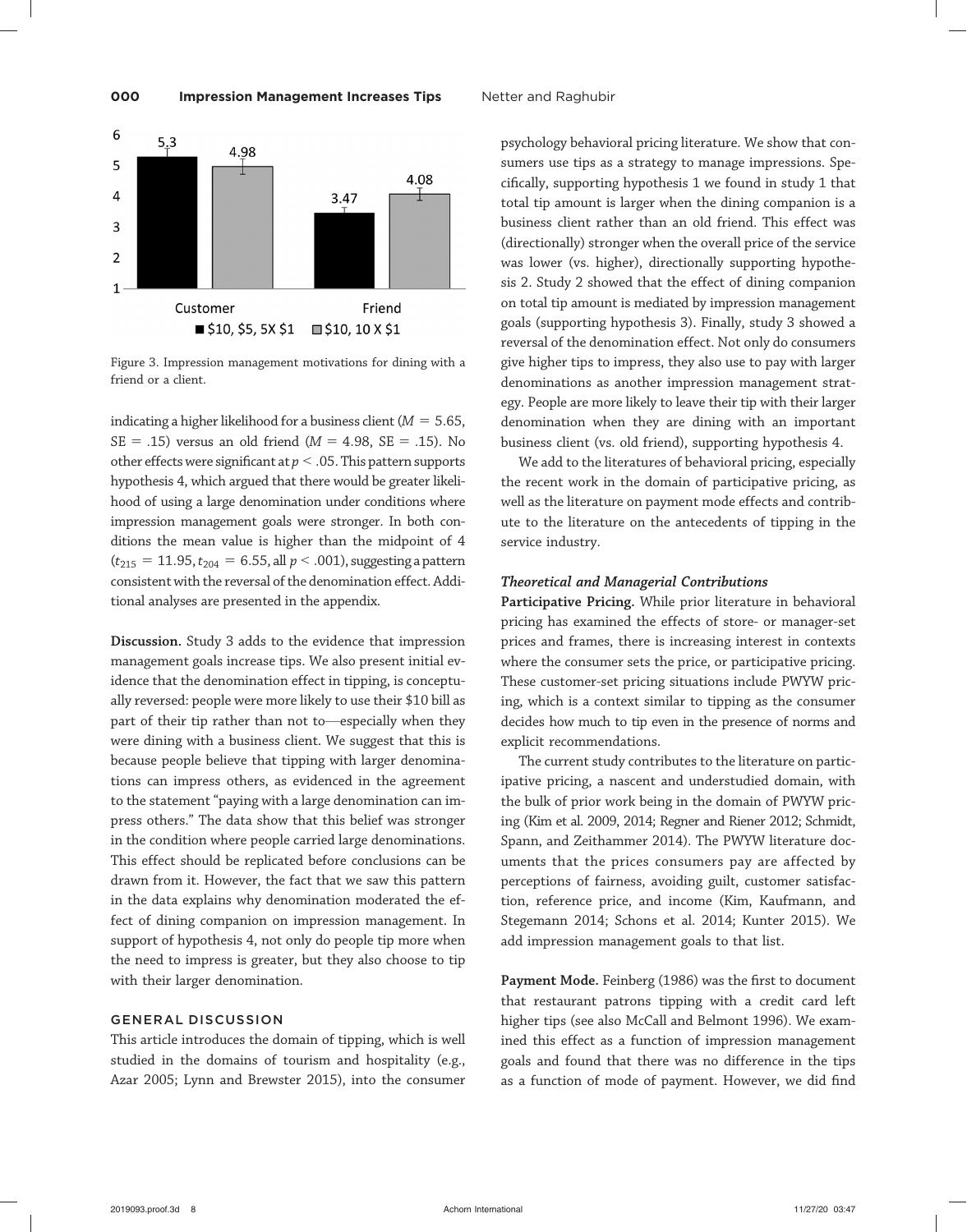

Figure 3. Impression management motivations for dining with a friend or a client.

indicating a higher likelihood for a business client ( $M = 5.65$ ,  $SE = .15$ ) versus an old friend ( $M = 4.98$ ,  $SE = .15$ ). No other effects were significant at  $p < .05$ . This pattern supports hypothesis 4, which argued that there would be greater likelihood of using a large denomination under conditions where impression management goals were stronger. In both conditions the mean value is higher than the midpoint of 4  $(t_{215} = 11.95, t_{204} = 6.55,$  all  $p < .001$ ), suggesting a pattern consistent with the reversal of the denomination effect. Additional analyses are presented in the appendix.

Discussion. Study 3 adds to the evidence that impression management goals increase tips. We also present initial evidence that the denomination effect in tipping, is conceptually reversed: people were more likely to use their \$10 bill as part of their tip rather than not to—especially when they were dining with a business client. We suggest that this is because people believe that tipping with larger denominations can impress others, as evidenced in the agreement to the statement "paying with a large denomination can impress others." The data show that this belief was stronger in the condition where people carried large denominations. This effect should be replicated before conclusions can be drawn from it. However, the fact that we saw this pattern in the data explains why denomination moderated the effect of dining companion on impression management. In support of hypothesis 4, not only do people tip more when the need to impress is greater, but they also choose to tip with their larger denomination.

# GENERAL DISCUSSION

This article introduces the domain of tipping, which is well studied in the domains of tourism and hospitality (e.g., Azar 2005; Lynn and Brewster 2015), into the consumer

psychology behavioral pricing literature. We show that consumers use tips as a strategy to manage impressions. Specifically, supporting hypothesis 1 we found in study 1 that total tip amount is larger when the dining companion is a business client rather than an old friend. This effect was (directionally) stronger when the overall price of the service was lower (vs. higher), directionally supporting hypothesis 2. Study 2 showed that the effect of dining companion on total tip amount is mediated by impression management goals (supporting hypothesis 3). Finally, study 3 showed a reversal of the denomination effect. Not only do consumers give higher tips to impress, they also use to pay with larger denominations as another impression management strategy. People are more likely to leave their tip with their larger denomination when they are dining with an important business client (vs. old friend), supporting hypothesis 4.

We add to the literatures of behavioral pricing, especially the recent work in the domain of participative pricing, as well as the literature on payment mode effects and contribute to the literature on the antecedents of tipping in the service industry.

#### Theoretical and Managerial Contributions

Participative Pricing. While prior literature in behavioral pricing has examined the effects of store- or manager-set prices and frames, there is increasing interest in contexts where the consumer sets the price, or participative pricing. These customer-set pricing situations include PWYW pricing, which is a context similar to tipping as the consumer decides how much to tip even in the presence of norms and explicit recommendations.

The current study contributes to the literature on participative pricing, a nascent and understudied domain, with the bulk of prior work being in the domain of PWYW pricing (Kim et al. 2009, 2014; Regner and Riener 2012; Schmidt, Spann, and Zeithammer 2014). The PWYW literature documents that the prices consumers pay are affected by perceptions of fairness, avoiding guilt, customer satisfaction, reference price, and income (Kim, Kaufmann, and Stegemann 2014; Schons et al. 2014; Kunter 2015). We add impression management goals to that list.

Payment Mode. Feinberg (1986) was the first to document that restaurant patrons tipping with a credit card left higher tips (see also McCall and Belmont 1996). We examined this effect as a function of impression management goals and found that there was no difference in the tips as a function of mode of payment. However, we did find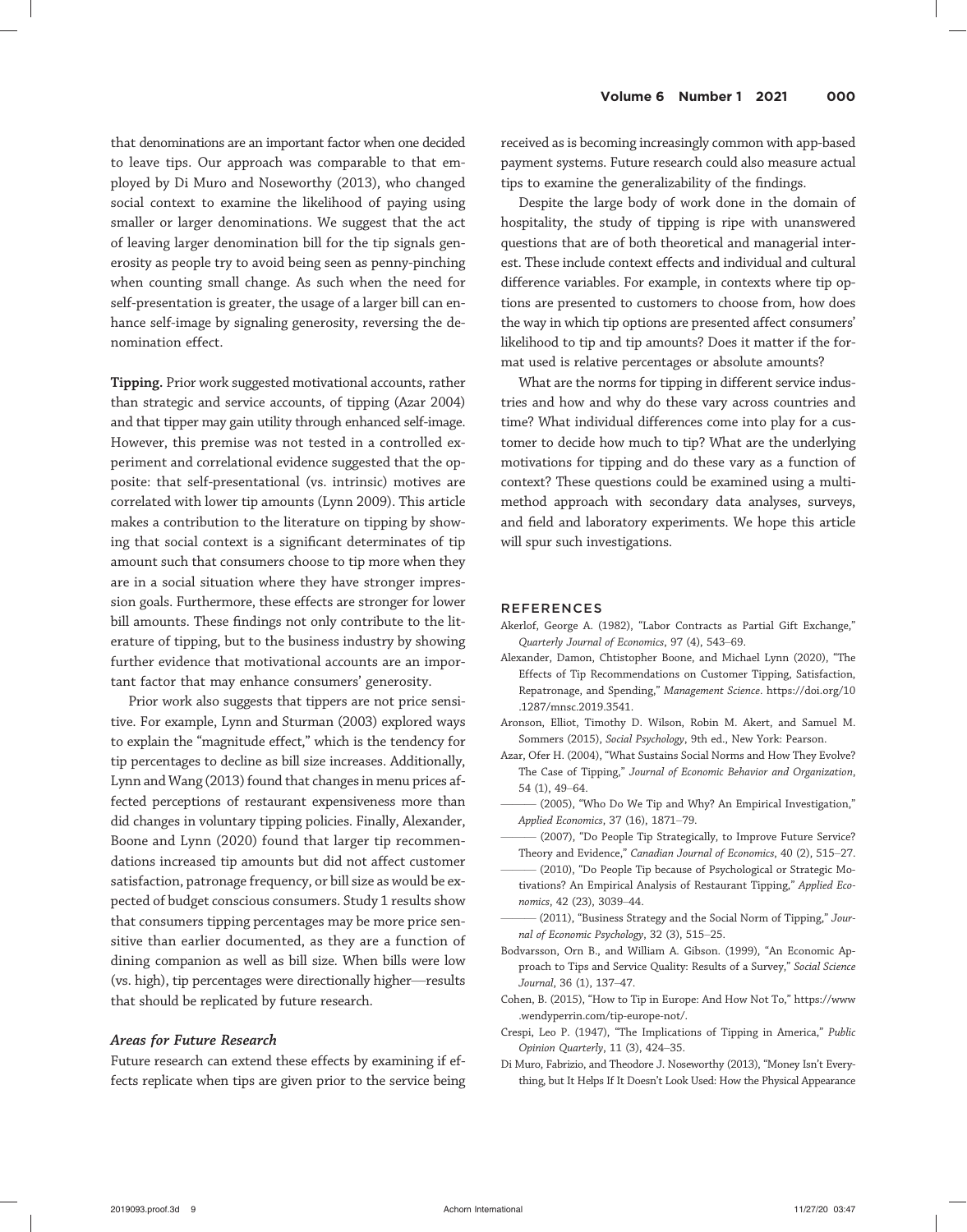that denominations are an important factor when one decided to leave tips. Our approach was comparable to that employed by Di Muro and Noseworthy (2013), who changed social context to examine the likelihood of paying using smaller or larger denominations. We suggest that the act of leaving larger denomination bill for the tip signals generosity as people try to avoid being seen as penny-pinching when counting small change. As such when the need for self-presentation is greater, the usage of a larger bill can enhance self-image by signaling generosity, reversing the denomination effect.

Tipping. Prior work suggested motivational accounts, rather than strategic and service accounts, of tipping (Azar 2004) and that tipper may gain utility through enhanced self-image. However, this premise was not tested in a controlled experiment and correlational evidence suggested that the opposite: that self-presentational (vs. intrinsic) motives are correlated with lower tip amounts (Lynn 2009). This article makes a contribution to the literature on tipping by showing that social context is a significant determinates of tip amount such that consumers choose to tip more when they are in a social situation where they have stronger impression goals. Furthermore, these effects are stronger for lower bill amounts. These findings not only contribute to the literature of tipping, but to the business industry by showing further evidence that motivational accounts are an important factor that may enhance consumers' generosity.

Prior work also suggests that tippers are not price sensitive. For example, Lynn and Sturman (2003) explored ways to explain the "magnitude effect," which is the tendency for tip percentages to decline as bill size increases. Additionally, Lynn and Wang (2013) found that changes in menu prices affected perceptions of restaurant expensiveness more than did changes in voluntary tipping policies. Finally, Alexander, Boone and Lynn (2020) found that larger tip recommendations increased tip amounts but did not affect customer satisfaction, patronage frequency, or bill size as would be expected of budget conscious consumers. Study 1 results show that consumers tipping percentages may be more price sensitive than earlier documented, as they are a function of dining companion as well as bill size. When bills were low (vs. high), tip percentages were directionally higher—results that should be replicated by future research.

#### Areas for Future Research

Future research can extend these effects by examining if effects replicate when tips are given prior to the service being received as is becoming increasingly common with app-based payment systems. Future research could also measure actual tips to examine the generalizability of the findings.

Despite the large body of work done in the domain of hospitality, the study of tipping is ripe with unanswered questions that are of both theoretical and managerial interest. These include context effects and individual and cultural difference variables. For example, in contexts where tip options are presented to customers to choose from, how does the way in which tip options are presented affect consumers' likelihood to tip and tip amounts? Does it matter if the format used is relative percentages or absolute amounts?

What are the norms for tipping in different service industries and how and why do these vary across countries and time? What individual differences come into play for a customer to decide how much to tip? What are the underlying motivations for tipping and do these vary as a function of context? These questions could be examined using a multimethod approach with secondary data analyses, surveys, and field and laboratory experiments. We hope this article will spur such investigations.

#### REFERENCES

- Akerlof, George A. (1982), "Labor Contracts as Partial Gift Exchange," Quarterly Journal of Economics, 97 (4), 543–69.
- Alexander, Damon, Chtistopher Boone, and Michael Lynn (2020), "The Effects of Tip Recommendations on Customer Tipping, Satisfaction, Repatronage, and Spending," Management Science. https://doi.org/10 .1287/mnsc.2019.3541.
- Aronson, Elliot, Timothy D. Wilson, Robin M. Akert, and Samuel M. Sommers (2015), Social Psychology, 9th ed., New York: Pearson.
- Azar, Ofer H. (2004), "What Sustains Social Norms and [How They Evolve?](https://doi.org/10.1287/mnsc.2019.3541) [The Case of Tipping,](https://doi.org/10.1287/mnsc.2019.3541)" Journal of Economic Behavior and Organization, 54 (1), 49–64.
- (2005), "Who Do We Tip and Why? An Empirical Investigation," Applied Economics, 37 (16), 1871–79.
- (2007), "Do People Tip Strategically, to Improve Future Service? Theory and Evidence," Canadian Journal of Economics, 40 (2), 515–27.
- (2010), "Do People Tip because of Psychological or Strategic Motivations? An Empirical Analysis of Restaurant Tipping," Applied Economics, 42 (23), 3039–44.
- (2011), "Business Strategy and the Social Norm of Tipping," Journal of Economic Psychology, 32 (3), 515–25.
- Bodvarsson, Orn B., and William A. Gibson. (1999), "An Economic Approach to Tips and Service Quality: Results of a Survey," Social Science Journal, 36 (1), 137–47.
- Cohen, B. (2015), "How to Tip in Europe: And How Not To," https://www .wendyperrin.com/tip-europe-not/.
- Crespi, Leo P. (1947), "The Implications of Tipping in America," Public Opinion Quarterly, 11 (3), 424–35.
- Di Muro, Fabrizio, and Theodore J. Noseworthy (2013), "Money Isn'[t Every](https://www.wendyperrin.com/tip-europe-not/)[thing, but It Helps If It Doesn](https://www.wendyperrin.com/tip-europe-not/)'t Look Used: How the Physical Appearance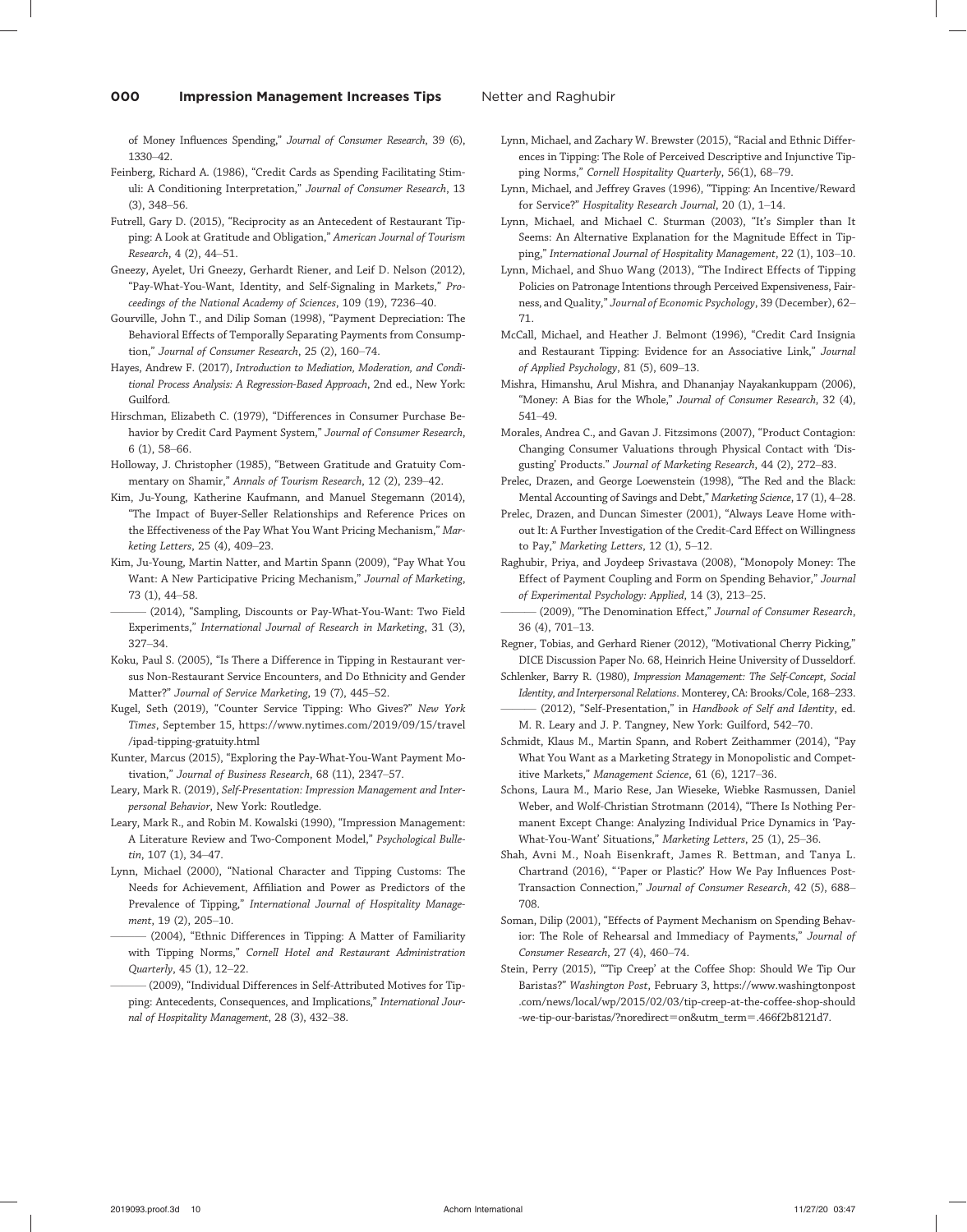of Money Influences Spending," Journal of Consumer Research, 39 (6), 1330–42.

Feinberg, Richard A. (1986), "Credit Cards as Spending Facilitating Stimuli: A Conditioning Interpretation," Journal of Consumer Research, 13 (3), 348–56.

Futrell, Gary D. (2015), "Reciprocity as an Antecedent of Restaurant Tipping: A Look at Gratitude and Obligation," American Journal of Tourism Research, 4 (2), 44–51.

Gneezy, Ayelet, Uri Gneezy, Gerhardt Riener, and Leif D. Nelson (2012), "Pay-What-You-Want, Identity, and Self-Signaling in Markets," Proceedings of the National Academy of Sciences, 109 (19), 7236–40.

Gourville, John T., and Dilip Soman (1998), "Payment Depreciation: The Behavioral Effects of Temporally Separating Payments from Consumption," Journal of Consumer Research, 25 (2), 160–74.

Hayes, Andrew F. (2017), Introduction to Mediation, Moderation, and Conditional Process Analysis: A Regression-Based Approach, 2nd ed., New York: Guilford.

Hirschman, Elizabeth C. (1979), "Differences in Consumer Purchase Behavior by Credit Card Payment System," Journal of Consumer Research, 6 (1), 58–66.

Holloway, J. Christopher (1985), "Between Gratitude and Gratuity Commentary on Shamir," Annals of Tourism Research, 12 (2), 239–42.

Kim, Ju-Young, Katherine Kaufmann, and Manuel Stegemann (2014), "The Impact of Buyer-Seller Relationships and Reference Prices on the Effectiveness of the Pay What You Want Pricing Mechanism," Marketing Letters, 25 (4), 409–23.

Kim, Ju-Young, Martin Natter, and Martin Spann (2009), "Pay What You Want: A New Participative Pricing Mechanism," Journal of Marketing, 73 (1), 44–58.

——— (2014), "Sampling, Discounts or Pay-What-You-Want: Two Field Experiments," International Journal of Research in Marketing, 31 (3), 327–34.

Koku, Paul S. (2005), "Is There a Difference in Tipping in Restaurant versus Non-Restaurant Service Encounters, and Do Ethnicity and Gender Matter?" Journal of Service Marketing, 19 (7), 445–52.

Kugel, Seth (2019), "Counter Service Tipping: Who Gives?" New York Times, September 15, https://www.nytimes.com/2019/09/15/travel /ipad-tipping-gratuity.html

Kunter, Marcus (2015), "Exploring the Pay-What-You-Want Payment Motivation," Journal of Business Research, 68 (11), 2347–57.

Leary, Mark R. (2019), Sel[f-Presentation: Impression Management and Inter](https://www.nytimes.com/2019/09/15/travel/ipad-tipping-gratuity.html)[personal Behavior](https://www.nytimes.com/2019/09/15/travel/ipad-tipping-gratuity.html), New York: Routledge.

Leary, Mark R., and Robin M. Kowalski (1990), "Impression Management: A Literature Review and Two-Component Model," Psychological Bulletin, 107 (1), 34–47.

Lynn, Michael (2000), "National Character and Tipping Customs: The Needs for Achievement, Affiliation and Power as Predictors of the Prevalence of Tipping," International Journal of Hospitality Management, 19 (2), 205–10.

(2004), "Ethnic Differences in Tipping: A Matter of Familiarity with Tipping Norms," Cornell Hotel and Restaurant Administration Quarterly, 45 (1), 12–22.

——— (2009), "Individual Differences in Self-Attributed Motives for Tipping: Antecedents, Consequences, and Implications," International Journal of Hospitality Management, 28 (3), 432–38.

Lynn, Michael, and Zachary W. Brewster (2015), "Racial and Ethnic Differences in Tipping: The Role of Perceived Descriptive and Injunctive Tipping Norms," Cornell Hospitality Quarterly, 56(1), 68-79.

Lynn, Michael, and Jeffrey Graves (1996), "Tipping: An Incentive/Reward for Service?" Hospitality Research Journal, 20 (1), 1–14.

Lynn, Michael, and Michael C. Sturman (2003), "It's Simpler than It Seems: An Alternative Explanation for the Magnitude Effect in Tipping," International Journal of Hospitality Management, 22 (1), 103–10.

Lynn, Michael, and Shuo Wang (2013), "The Indirect Effects of Tipping Policies on Patronage Intentions through Perceived Expensiveness, Fairness, and Quality," Journal of Economic Psychology, 39 (December), 62-71.

McCall, Michael, and Heather J. Belmont (1996), "Credit Card Insignia and Restaurant Tipping: Evidence for an Associative Link," Journal of Applied Psychology, 81 (5), 609–13.

Mishra, Himanshu, Arul Mishra, and Dhananjay Nayakankuppam (2006), "Money: A Bias for the Whole," Journal of Consumer Research, 32 (4), 541–49.

Morales, Andrea C., and Gavan J. Fitzsimons (2007), "Product Contagion: Changing Consumer Valuations through Physical Contact with 'Disgusting' Products." Journal of Marketing Research, 44 (2), 272–83.

Prelec, Drazen, and George Loewenstein (1998), "The Red and the Black: Mental Accounting of Savings and Debt," Marketing Science, 17 (1), 4–28.

Prelec, Drazen, and Duncan Simester (2001), "Always Leave Home without It: A Further Investigation of the Credit-Card Effect on Willingness to Pay," Marketing Letters, 12 (1), 5-12.

Raghubir, Priya, and Joydeep Srivastava (2008), "Monopoly Money: The Effect of Payment Coupling and Form on Spending Behavior," Journal of Experimental Psychology: Applied, 14 (3), 213–25.

(2009), "The Denomination Effect," Journal of Consumer Research, 36 (4), 701–13.

Regner, Tobias, and Gerhard Riener (2012), "Motivational Cherry Picking," DICE Discussion Paper No. 68, Heinrich Heine University of Dusseldorf.

Schlenker, Barry R. (1980), Impression Management: The Self-Concept, Social Identity, and Interpersonal Relations. Monterey, CA: Brooks/Cole, 168–233. (2012), "Self-Presentation," in Handbook of Self and Identity, ed.

M. R. Leary and J. P. Tangney, New York: Guilford, 542–70. Schmidt, Klaus M., Martin Spann, and Robert Zeithammer (2014), "Pay What You Want as a Marketing Strategy in Monopolistic and Competitive Markets," Management Science, 61 (6), 1217-36.

Schons, Laura M., Mario Rese, Jan Wieseke, Wiebke Rasmussen, Daniel Weber, and Wolf-Christian Strotmann (2014), "There Is Nothing Permanent Except Change: Analyzing Individual Price Dynamics in 'Pay-What-You-Want' Situations," Marketing Letters, 25 (1), 25–36.

Shah, Avni M., Noah Eisenkraft, James R. Bettman, and Tanya L. Chartrand (2016), " 'Paper or Plastic?' How We Pay Influences Post-Transaction Connection," Journal of Consumer Research, 42 (5), 688-708.

Soman, Dilip (2001), "Effects of Payment Mechanism on Spending Behavior: The Role of Rehearsal and Immediacy of Payments," Journal of Consumer Research, 27 (4), 460–74.

Stein, Perry (2015), "'Tip Creep' at the Coffee Shop: Should We Tip Our Baristas?" Washington Post, February 3, https://www.washingtonpost .com/news/local/wp/2015/02/03/tip-creep-at-the-coffee-shop-should -we-tip-our-baristas/?noredirect=on&utm\_term=.466f2b8121d7.